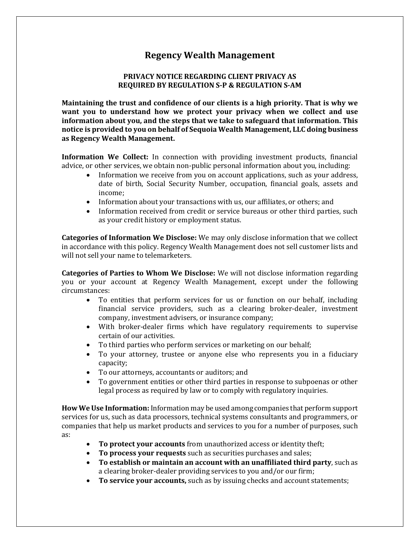## **Regency Wealth Management**

## **PRIVACY NOTICE REGARDING CLIENT PRIVACY AS REQUIRED BY REGULATION S-P & REGULATION S-AM**

**Maintaining the trust and confidence of our clients is a high priority. That is why we want you to understand how we protect your privacy when we collect and use information about you, and the steps that we take to safeguard that information. This notice is provided to you on behalf of Sequoia Wealth Management, LLC doing business as Regency Wealth Management.**

**Information We Collect:** In connection with providing investment products, financial advice, or other services, we obtain non-public personal information about you, including:

- Information we receive from you on account applications, such as your address, date of birth, Social Security Number, occupation, financial goals, assets and income;
- Information about your transactions with us, our affiliates, or others; and
- Information received from credit or service bureaus or other third parties, such as your credit history or employment status.

**Categories of Information We Disclose:** We may only disclose information that we collect in accordance with this policy. Regency Wealth Management does not sell customer lists and will not sell your name to telemarketers.

**Categories of Parties to Whom We Disclose:** We will not disclose information regarding you or your account at Regency Wealth Management, except under the following circumstances:

- To entities that perform services for us or function on our behalf, including financial service providers, such as a clearing broker-dealer, investment company, investment advisers, or insurance company;
- With broker-dealer firms which have regulatory requirements to supervise certain of our activities.
- To third parties who perform services or marketing on our behalf;
- To your attorney, trustee or anyone else who represents you in a fiduciary capacity;
- To our attorneys, accountants or auditors; and
- To government entities or other third parties in response to subpoenas or other legal process as required by law or to comply with regulatory inquiries.

**How We Use Information:** Information may be used among companies that perform support services for us, such as data processors, technical systems consultants and programmers, or companies that help us market products and services to you for a number of purposes, such as:

- **To protect your accounts** from unauthorized access or identity theft;
- **To process your requests** such as securities purchases and sales;
- **To establish or maintain an account with an unaffiliated third party**, such as a clearing broker-dealer providing services to you and/or our firm;
- **To service your accounts,** such as by issuing checks and account statements;